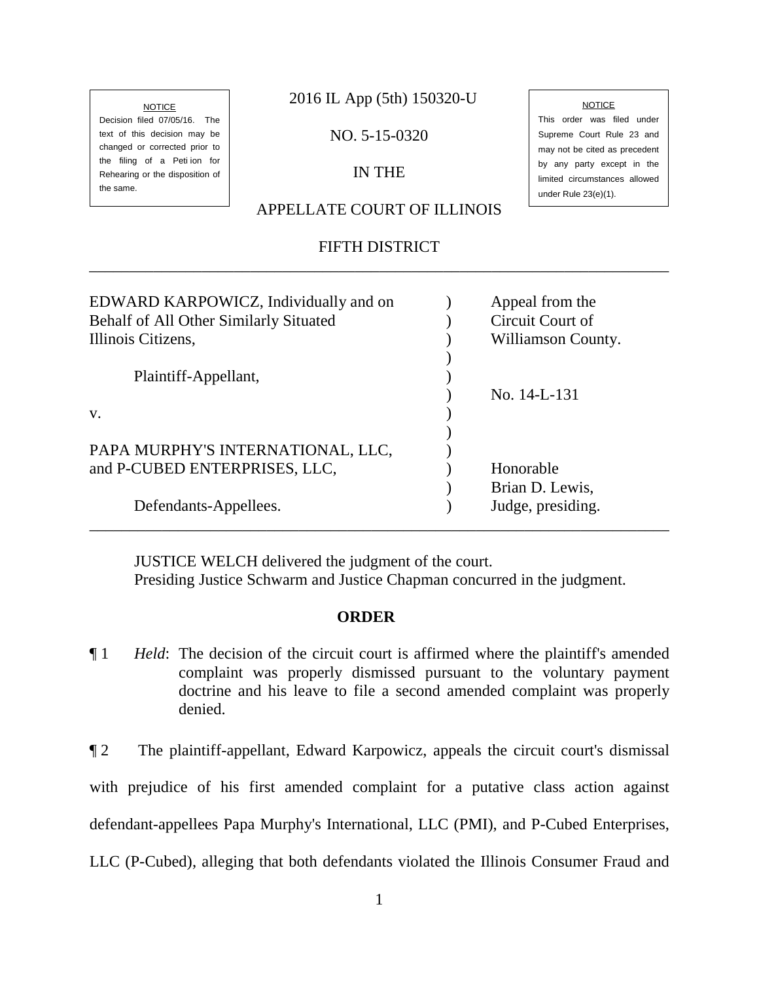#### **NOTICE**

Decision filed 07/05/16. The text of this decision may be changed or corrected prior to the filing of a Peti ion for Rehearing or the disposition of the same.

2016 IL App (5th) 150320-U

NO. 5-15-0320

## IN THE

## APPELLATE COURT OF ILLINOIS

# FIFTH DISTRICT \_\_\_\_\_\_\_\_\_\_\_\_\_\_\_\_\_\_\_\_\_\_\_\_\_\_\_\_\_\_\_\_\_\_\_\_\_\_\_\_\_\_\_\_\_\_\_\_\_\_\_\_\_\_\_\_\_\_\_\_\_\_\_\_\_\_\_\_\_\_\_\_

# EDWARD KARPOWICZ, Individually and on (a) appeal from the Behalf of All Other Similarly Situated (a) Circuit Court of Illinois Citizens,  $\qquad \qquad$  Williamson County.  $\overline{\phantom{a}}$ Plaintiff-Appellant, (1) ) No. 14-L-131  $\mathbf{v}$ .  $\qquad \qquad$  )  $\big)$ PAPA MURPHY'S INTERNATIONAL, LLC, and P-CUBED ENTERPRISES, LLC,  $\qquad \qquad$  Honorable ) Brian D. Lewis, Defendants-Appellees. ) Judge, presiding. \_\_\_\_\_\_\_\_\_\_\_\_\_\_\_\_\_\_\_\_\_\_\_\_\_\_\_\_\_\_\_\_\_\_\_\_\_\_\_\_\_\_\_\_\_\_\_\_\_\_\_\_\_\_\_\_\_\_\_\_\_\_\_\_\_\_\_\_\_\_\_\_

 JUSTICE WELCH delivered the judgment of the court. Presiding Justice Schwarm and Justice Chapman concurred in the judgment.

#### **ORDER**

¶ 1 *Held*: The decision of the circuit court is affirmed where the plaintiff's amended complaint was properly dismissed pursuant to the voluntary payment doctrine and his leave to file a second amended complaint was properly denied.

¶ 2 The plaintiff-appellant, Edward Karpowicz, appeals the circuit court's dismissal with prejudice of his first amended complaint for a putative class action against defendant-appellees Papa Murphy's International, LLC (PMI), and P-Cubed Enterprises, LLC (P-Cubed), alleging that both defendants violated the Illinois Consumer Fraud and

This order was filed under Supreme Court Rule 23 and may not be cited as precedent by any party except in the limited circumstances allowed under Rule 23(e)(1).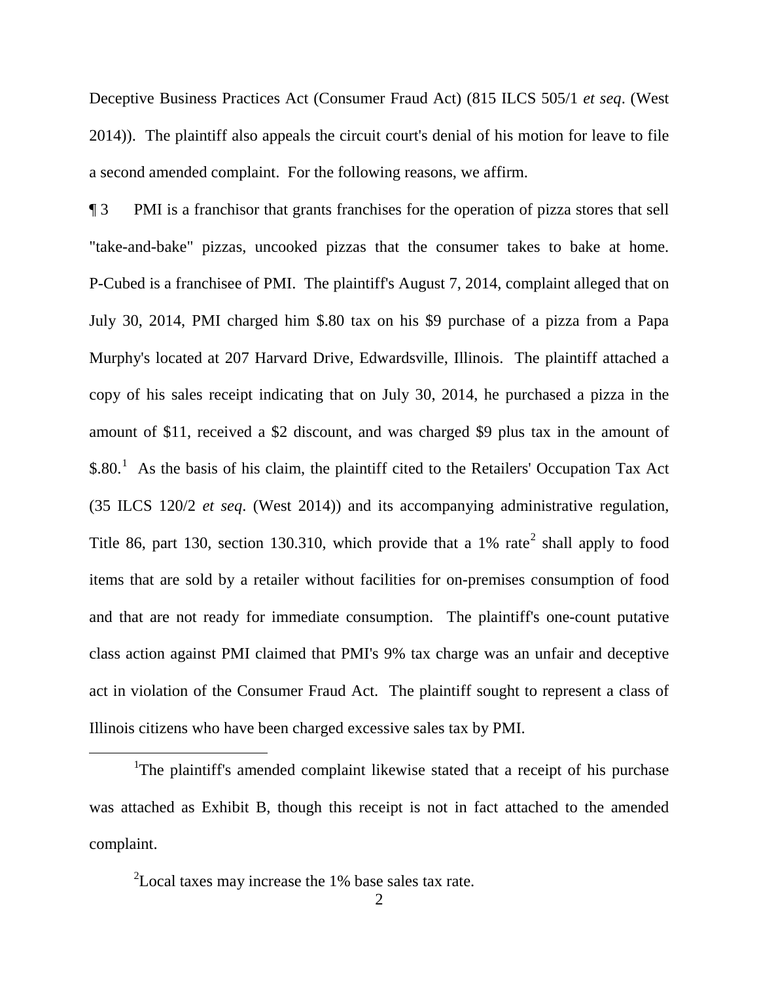Deceptive Business Practices Act (Consumer Fraud Act) (815 ILCS 505/1 *et seq*. (West 2014)). The plaintiff also appeals the circuit court's denial of his motion for leave to file a second amended complaint. For the following reasons, we affirm.

¶ 3 PMI is a franchisor that grants franchises for the operation of pizza stores that sell "take-and-bake" pizzas, uncooked pizzas that the consumer takes to bake at home. P-Cubed is a franchisee of PMI. The plaintiff's August 7, 2014, complaint alleged that on July 30, 2014, PMI charged him \$.80 tax on his \$9 purchase of a pizza from a Papa Murphy's located at 207 Harvard Drive, Edwardsville, Illinois. The plaintiff attached a copy of his sales receipt indicating that on July 30, 2014, he purchased a pizza in the amount of \$11, received a \$2 discount, and was charged \$9 plus tax in the amount of  $$.80<sup>1</sup>$  As the basis of his claim, the plaintiff cited to the Retailers' Occupation Tax Act (35 ILCS 120/2 *et seq*. (West 2014)) and its accompanying administrative regulation, Title 86, part 130, section 130.310, which provide that a 1% rate<sup>2</sup> shall apply to food items that are sold by a retailer without facilities for on-premises consumption of food and that are not ready for immediate consumption. The plaintiff's one-count putative class action against PMI claimed that PMI's 9% tax charge was an unfair and deceptive act in violation of the Consumer Fraud Act. The plaintiff sought to represent a class of Illinois citizens who have been charged excessive sales tax by PMI.

<u>1</u> <sup>1</sup>The plaintiff's amended complaint likewise stated that a receipt of his purchase was attached as Exhibit B, though this receipt is not in fact attached to the amended complaint.

 $2$ Local taxes may increase the 1% base sales tax rate.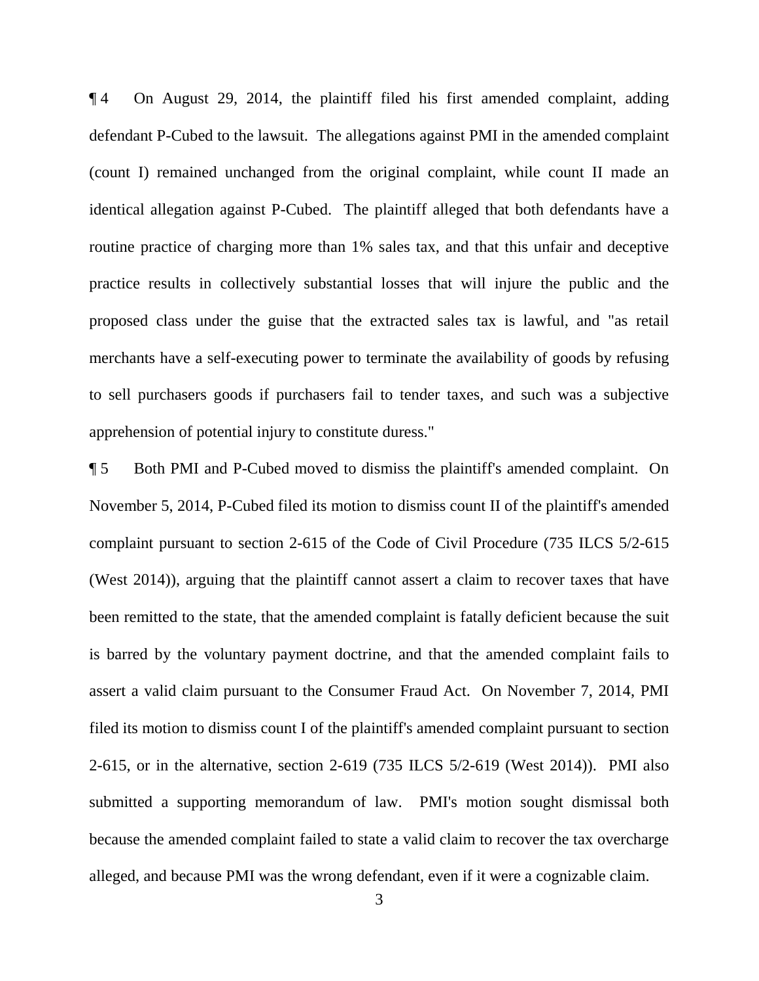¶ 4 On August 29, 2014, the plaintiff filed his first amended complaint, adding defendant P-Cubed to the lawsuit. The allegations against PMI in the amended complaint (count I) remained unchanged from the original complaint, while count II made an identical allegation against P-Cubed. The plaintiff alleged that both defendants have a routine practice of charging more than 1% sales tax, and that this unfair and deceptive practice results in collectively substantial losses that will injure the public and the proposed class under the guise that the extracted sales tax is lawful, and "as retail merchants have a self-executing power to terminate the availability of goods by refusing to sell purchasers goods if purchasers fail to tender taxes, and such was a subjective apprehension of potential injury to constitute duress."

¶ 5 Both PMI and P-Cubed moved to dismiss the plaintiff's amended complaint. On November 5, 2014, P-Cubed filed its motion to dismiss count II of the plaintiff's amended complaint pursuant to section 2-615 of the Code of Civil Procedure (735 ILCS 5/2-615 (West 2014)), arguing that the plaintiff cannot assert a claim to recover taxes that have been remitted to the state, that the amended complaint is fatally deficient because the suit is barred by the voluntary payment doctrine, and that the amended complaint fails to assert a valid claim pursuant to the Consumer Fraud Act. On November 7, 2014, PMI filed its motion to dismiss count I of the plaintiff's amended complaint pursuant to section 2-615, or in the alternative, section 2-619 (735 ILCS 5/2-619 (West 2014)). PMI also submitted a supporting memorandum of law. PMI's motion sought dismissal both because the amended complaint failed to state a valid claim to recover the tax overcharge alleged, and because PMI was the wrong defendant, even if it were a cognizable claim.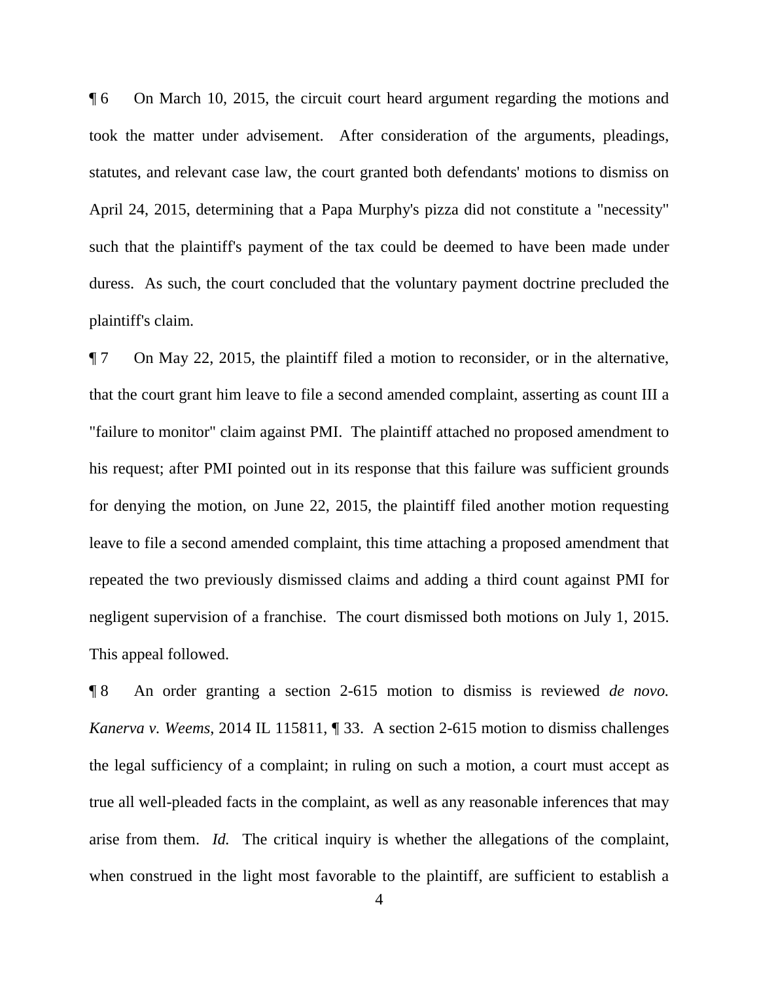¶ 6 On March 10, 2015, the circuit court heard argument regarding the motions and took the matter under advisement. After consideration of the arguments, pleadings, statutes, and relevant case law, the court granted both defendants' motions to dismiss on April 24, 2015, determining that a Papa Murphy's pizza did not constitute a "necessity" such that the plaintiff's payment of the tax could be deemed to have been made under duress. As such, the court concluded that the voluntary payment doctrine precluded the plaintiff's claim.

¶ 7 On May 22, 2015, the plaintiff filed a motion to reconsider, or in the alternative, that the court grant him leave to file a second amended complaint, asserting as count III a "failure to monitor" claim against PMI. The plaintiff attached no proposed amendment to his request; after PMI pointed out in its response that this failure was sufficient grounds for denying the motion, on June 22, 2015, the plaintiff filed another motion requesting leave to file a second amended complaint, this time attaching a proposed amendment that repeated the two previously dismissed claims and adding a third count against PMI for negligent supervision of a franchise. The court dismissed both motions on July 1, 2015. This appeal followed.

¶ 8 An order granting a section 2-615 motion to dismiss is reviewed *de novo. Kanerva v. Weems*, 2014 IL 115811, ¶ 33. A section 2-615 motion to dismiss challenges the legal sufficiency of a complaint; in ruling on such a motion, a court must accept as true all well-pleaded facts in the complaint, as well as any reasonable inferences that may arise from them. *Id.* The critical inquiry is whether the allegations of the complaint, when construed in the light most favorable to the plaintiff, are sufficient to establish a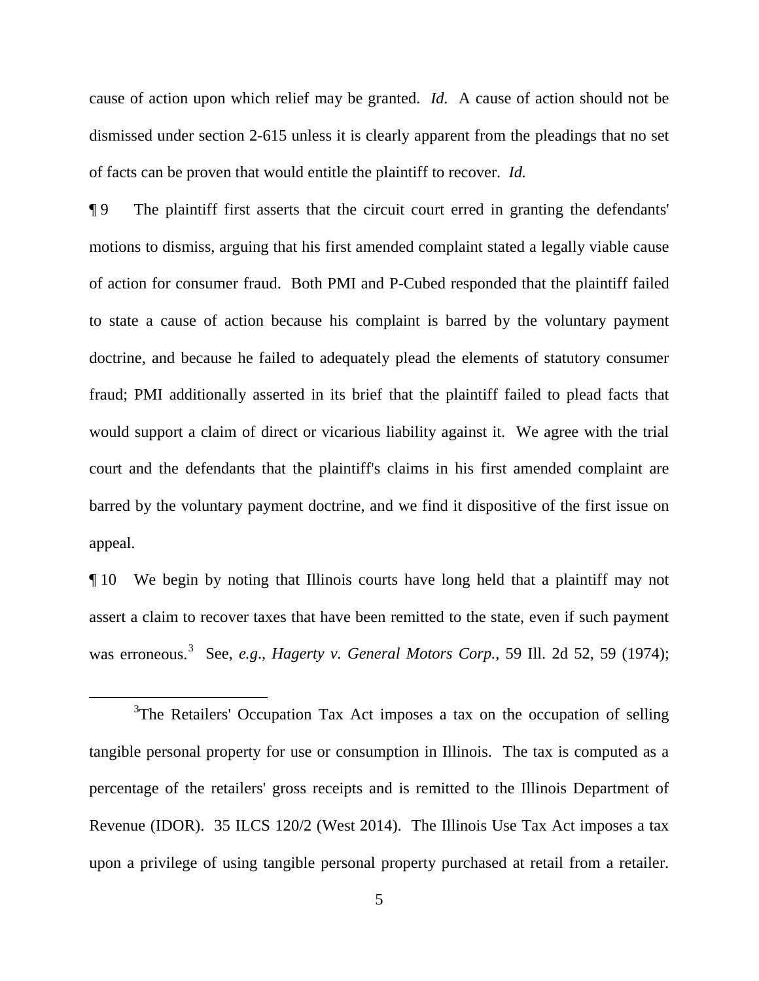cause of action upon which relief may be granted. *Id.* A cause of action should not be dismissed under section 2-615 unless it is clearly apparent from the pleadings that no set of facts can be proven that would entitle the plaintiff to recover. *Id.*

¶ 9 The plaintiff first asserts that the circuit court erred in granting the defendants' motions to dismiss, arguing that his first amended complaint stated a legally viable cause of action for consumer fraud. Both PMI and P-Cubed responded that the plaintiff failed to state a cause of action because his complaint is barred by the voluntary payment doctrine, and because he failed to adequately plead the elements of statutory consumer fraud; PMI additionally asserted in its brief that the plaintiff failed to plead facts that would support a claim of direct or vicarious liability against it. We agree with the trial court and the defendants that the plaintiff's claims in his first amended complaint are barred by the voluntary payment doctrine, and we find it dispositive of the first issue on appeal.

¶ 10 We begin by noting that Illinois courts have long held that a plaintiff may not assert a claim to recover taxes that have been remitted to the state, even if such payment was erroneous.<sup>3</sup> See, *e.g., Hagerty v. General Motors Corp.*, 59 Ill. 2d 52, 59 (1974);

 $\frac{1}{3}$  $3$ The Retailers' Occupation Tax Act imposes a tax on the occupation of selling tangible personal property for use or consumption in Illinois. The tax is computed as a percentage of the retailers' gross receipts and is remitted to the Illinois Department of Revenue (IDOR). 35 ILCS 120/2 (West 2014). The Illinois Use Tax Act imposes a tax upon a privilege of using tangible personal property purchased at retail from a retailer.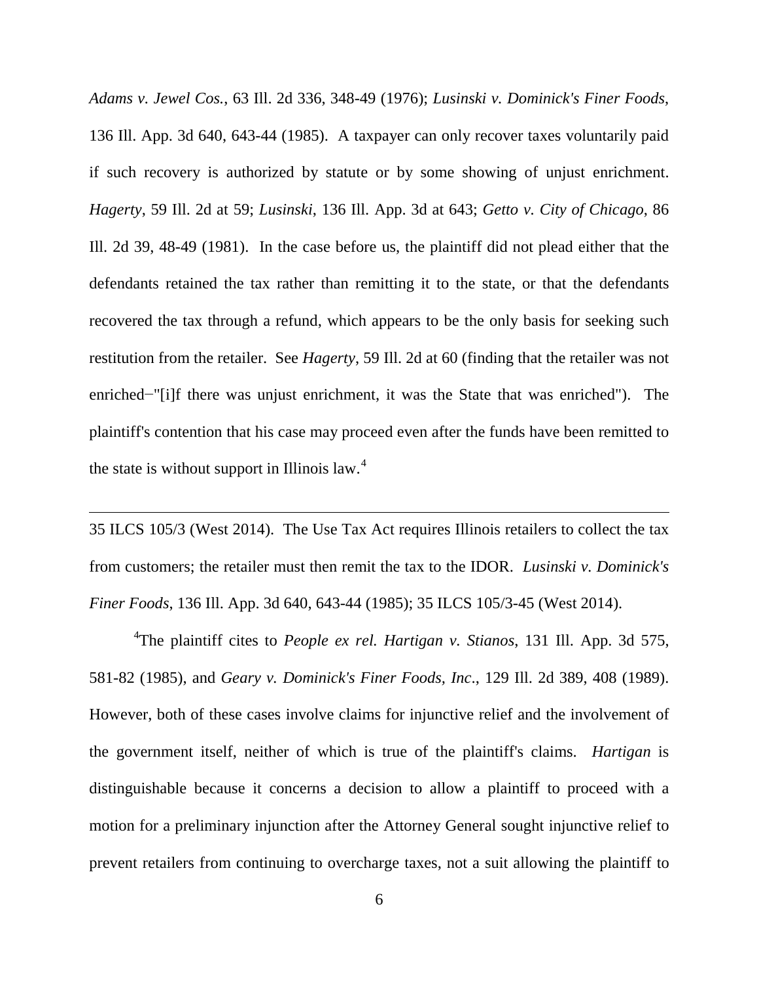*Adams v. Jewel Cos.*, 63 Ill. 2d 336, 348-49 (1976); *Lusinski v. Dominick's Finer Foods*, 136 Ill. App. 3d 640, 643-44 (1985). A taxpayer can only recover taxes voluntarily paid if such recovery is authorized by statute or by some showing of unjust enrichment. *Hagerty*, 59 Ill. 2d at 59; *Lusinski*, 136 Ill. App. 3d at 643; *Getto v. City of Chicago*, 86 Ill. 2d 39, 48-49 (1981). In the case before us, the plaintiff did not plead either that the defendants retained the tax rather than remitting it to the state, or that the defendants recovered the tax through a refund, which appears to be the only basis for seeking such restitution from the retailer. See *Hagerty*, 59 Ill. 2d at 60 (finding that the retailer was not enriched−"[i]f there was unjust enrichment, it was the State that was enriched"). The plaintiff's contention that his case may proceed even after the funds have been remitted to the state is without support in Illinois law. $4$ 

35 ILCS 105/3 (West 2014). The Use Tax Act requires Illinois retailers to collect the tax from customers; the retailer must then remit the tax to the IDOR. *Lusinski v. Dominick's Finer Foods*, 136 Ill. App. 3d 640, 643-44 (1985); 35 ILCS 105/3-45 (West 2014).

 $\overline{a}$ 

4 The plaintiff cites to *People ex rel. Hartigan v. Stianos*, 131 Ill. App. 3d 575, 581-82 (1985), and *Geary v. Dominick's Finer Foods, Inc*., 129 Ill. 2d 389, 408 (1989). However, both of these cases involve claims for injunctive relief and the involvement of the government itself, neither of which is true of the plaintiff's claims. *Hartigan* is distinguishable because it concerns a decision to allow a plaintiff to proceed with a motion for a preliminary injunction after the Attorney General sought injunctive relief to prevent retailers from continuing to overcharge taxes, not a suit allowing the plaintiff to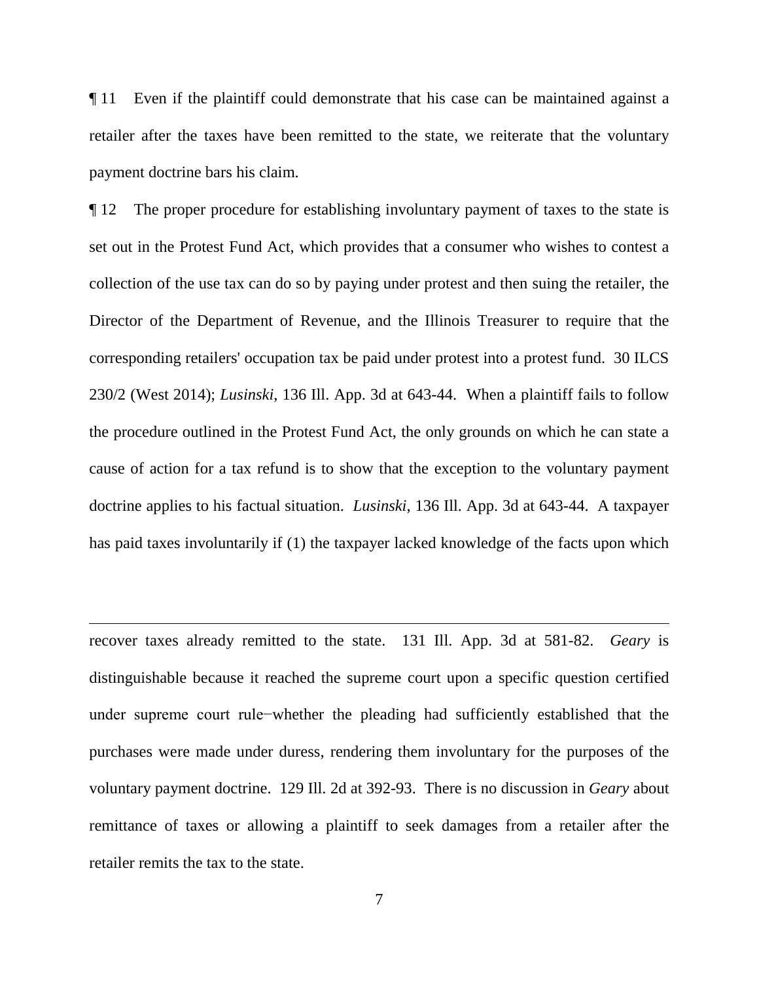¶ 11 Even if the plaintiff could demonstrate that his case can be maintained against a retailer after the taxes have been remitted to the state, we reiterate that the voluntary payment doctrine bars his claim.

¶ 12 The proper procedure for establishing involuntary payment of taxes to the state is set out in the Protest Fund Act, which provides that a consumer who wishes to contest a collection of the use tax can do so by paying under protest and then suing the retailer, the Director of the Department of Revenue, and the Illinois Treasurer to require that the corresponding retailers' occupation tax be paid under protest into a protest fund. 30 ILCS 230/2 (West 2014); *Lusinski*, 136 Ill. App. 3d at 643-44. When a plaintiff fails to follow the procedure outlined in the Protest Fund Act, the only grounds on which he can state a cause of action for a tax refund is to show that the exception to the voluntary payment doctrine applies to his factual situation. *Lusinski*, 136 Ill. App. 3d at 643-44. A taxpayer has paid taxes involuntarily if (1) the taxpayer lacked knowledge of the facts upon which

recover taxes already remitted to the state. 131 Ill. App. 3d at 581-82. *Geary* is distinguishable because it reached the supreme court upon a specific question certified under supreme court rule−whether the pleading had sufficiently established that the purchases were made under duress, rendering them involuntary for the purposes of the voluntary payment doctrine. 129 Ill. 2d at 392-93. There is no discussion in *Geary* about remittance of taxes or allowing a plaintiff to seek damages from a retailer after the retailer remits the tax to the state.

 $\overline{a}$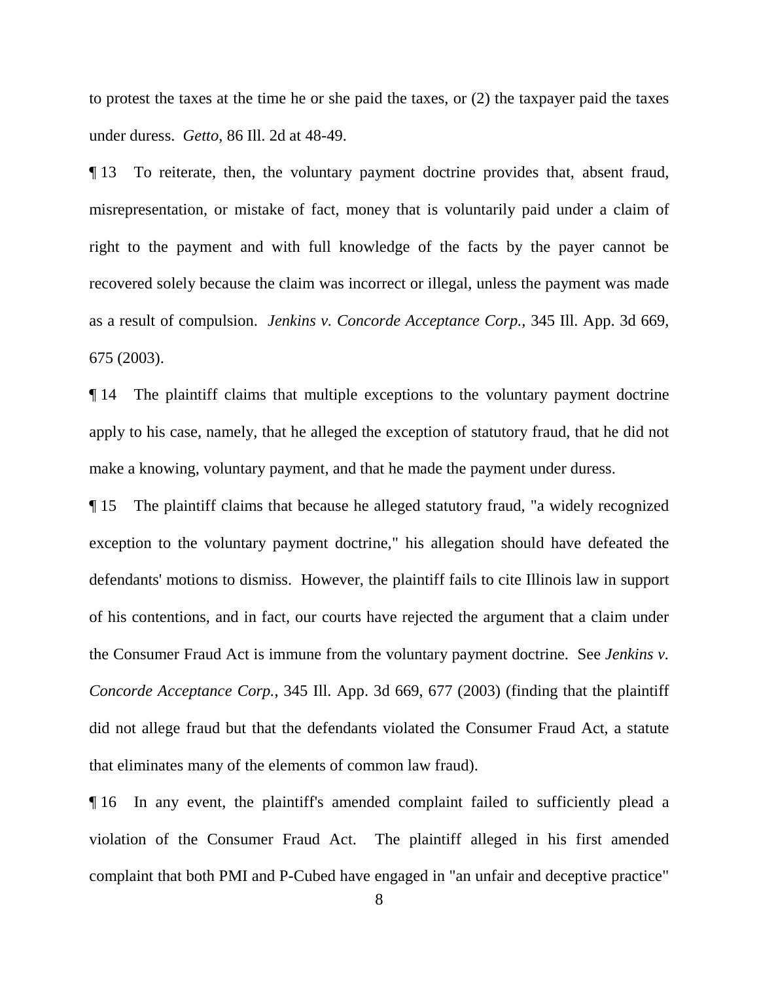to protest the taxes at the time he or she paid the taxes, or (2) the taxpayer paid the taxes under duress. *Getto*, 86 Ill. 2d at 48-49.

¶ 13 To reiterate, then, the voluntary payment doctrine provides that, absent fraud, misrepresentation, or mistake of fact, money that is voluntarily paid under a claim of right to the payment and with full knowledge of the facts by the payer cannot be recovered solely because the claim was incorrect or illegal, unless the payment was made as a result of compulsion. *Jenkins v. Concorde Acceptance Corp.*, 345 Ill. App. 3d 669, 675 (2003).

¶ 14 The plaintiff claims that multiple exceptions to the voluntary payment doctrine apply to his case, namely, that he alleged the exception of statutory fraud, that he did not make a knowing, voluntary payment, and that he made the payment under duress.

¶ 15 The plaintiff claims that because he alleged statutory fraud, "a widely recognized exception to the voluntary payment doctrine," his allegation should have defeated the defendants' motions to dismiss. However, the plaintiff fails to cite Illinois law in support of his contentions, and in fact, our courts have rejected the argument that a claim under the Consumer Fraud Act is immune from the voluntary payment doctrine. See *Jenkins v. Concorde Acceptance Corp.*, 345 Ill. App. 3d 669, 677 (2003) (finding that the plaintiff did not allege fraud but that the defendants violated the Consumer Fraud Act, a statute that eliminates many of the elements of common law fraud).

¶ 16 In any event, the plaintiff's amended complaint failed to sufficiently plead a violation of the Consumer Fraud Act. The plaintiff alleged in his first amended complaint that both PMI and P-Cubed have engaged in "an unfair and deceptive practice"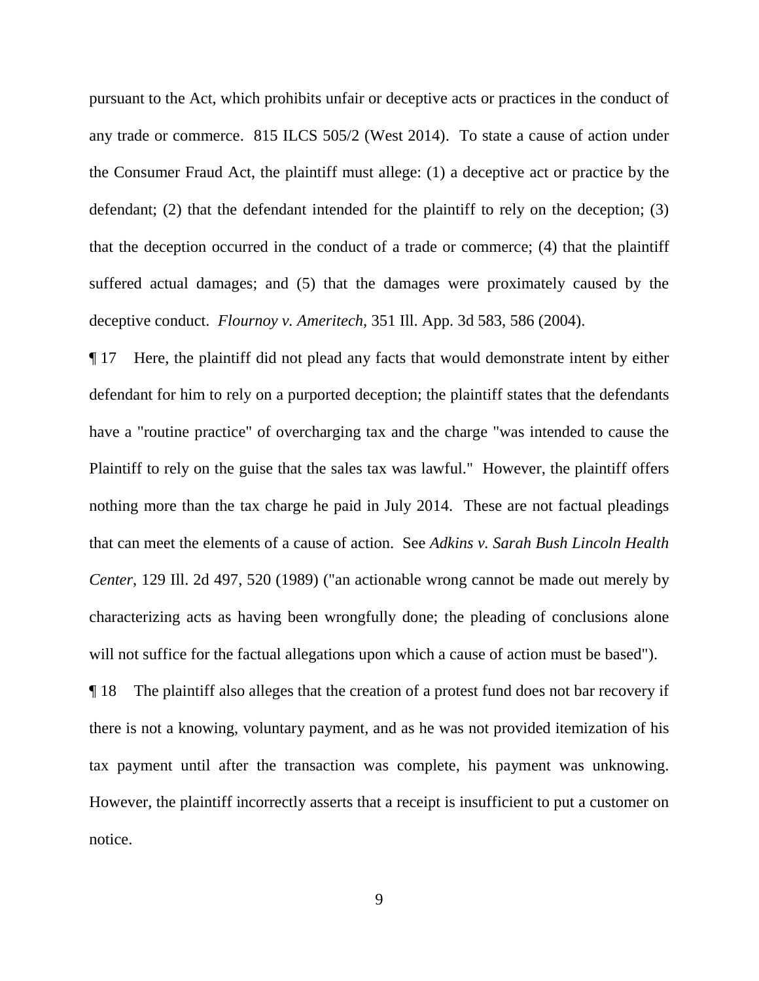pursuant to the Act, which prohibits unfair or deceptive acts or practices in the conduct of any trade or commerce. 815 ILCS 505/2 (West 2014). To state a cause of action under the Consumer Fraud Act, the plaintiff must allege: (1) a deceptive act or practice by the defendant; (2) that the defendant intended for the plaintiff to rely on the deception; (3) that the deception occurred in the conduct of a trade or commerce; (4) that the plaintiff suffered actual damages; and (5) that the damages were proximately caused by the deceptive conduct. *Flournoy v. Ameritech*, 351 Ill. App. 3d 583, 586 (2004).

¶ 17 Here, the plaintiff did not plead any facts that would demonstrate intent by either defendant for him to rely on a purported deception; the plaintiff states that the defendants have a "routine practice" of overcharging tax and the charge "was intended to cause the Plaintiff to rely on the guise that the sales tax was lawful." However, the plaintiff offers nothing more than the tax charge he paid in July 2014. These are not factual pleadings that can meet the elements of a cause of action. See *Adkins v. Sarah Bush Lincoln Health Center*, 129 Ill. 2d 497, 520 (1989) ("an actionable wrong cannot be made out merely by characterizing acts as having been wrongfully done; the pleading of conclusions alone will not suffice for the factual allegations upon which a cause of action must be based").

¶ 18 The plaintiff also alleges that the creation of a protest fund does not bar recovery if there is not a knowing, voluntary payment, and as he was not provided itemization of his tax payment until after the transaction was complete, his payment was unknowing. However, the plaintiff incorrectly asserts that a receipt is insufficient to put a customer on notice.

9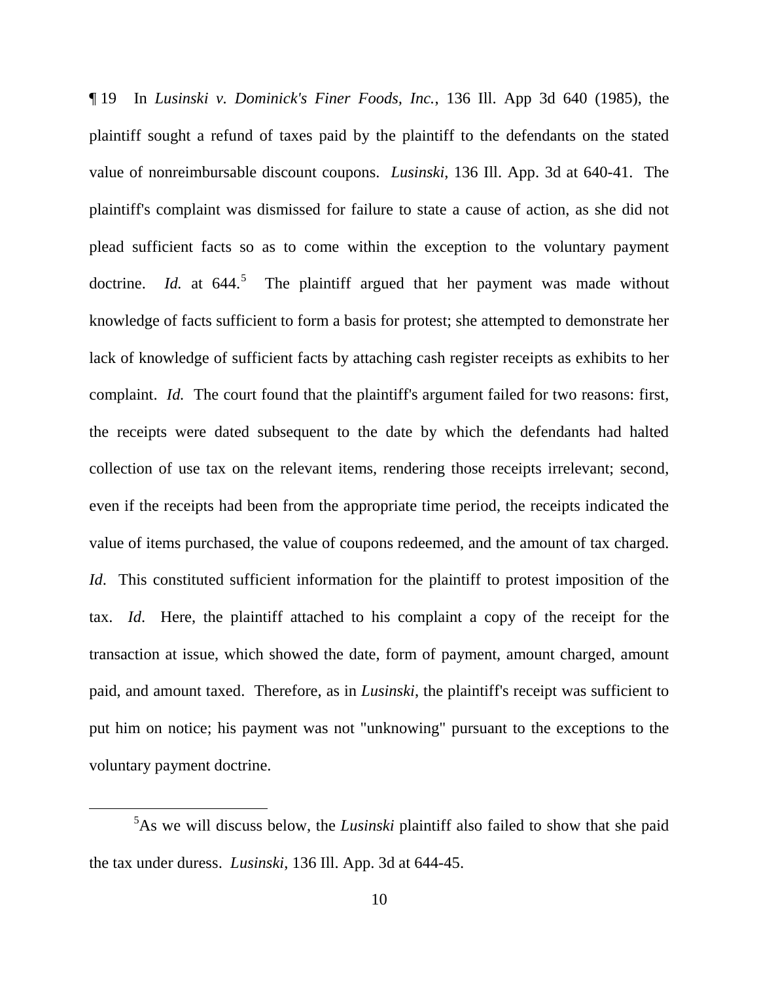¶ 19 In *Lusinski v. Dominick's Finer Foods, Inc.*, 136 Ill. App 3d 640 (1985), the plaintiff sought a refund of taxes paid by the plaintiff to the defendants on the stated value of nonreimbursable discount coupons. *Lusinski*, 136 Ill. App. 3d at 640-41. The plaintiff's complaint was dismissed for failure to state a cause of action, as she did not plead sufficient facts so as to come within the exception to the voluntary payment doctrine. *Id.* at  $644$ <sup>5</sup> The plaintiff argued that her payment was made without knowledge of facts sufficient to form a basis for protest; she attempted to demonstrate her lack of knowledge of sufficient facts by attaching cash register receipts as exhibits to her complaint. *Id.* The court found that the plaintiff's argument failed for two reasons: first, the receipts were dated subsequent to the date by which the defendants had halted collection of use tax on the relevant items, rendering those receipts irrelevant; second, even if the receipts had been from the appropriate time period, the receipts indicated the value of items purchased, the value of coupons redeemed, and the amount of tax charged. *Id.* This constituted sufficient information for the plaintiff to protest imposition of the tax. *Id*. Here, the plaintiff attached to his complaint a copy of the receipt for the transaction at issue, which showed the date, form of payment, amount charged, amount paid, and amount taxed. Therefore, as in *Lusinski*, the plaintiff's receipt was sufficient to put him on notice; his payment was not "unknowing" pursuant to the exceptions to the voluntary payment doctrine.

 $rac{1}{5}$ As we will discuss below, the *Lusinski* plaintiff also failed to show that she paid the tax under duress. *Lusinski*, 136 Ill. App. 3d at 644-45.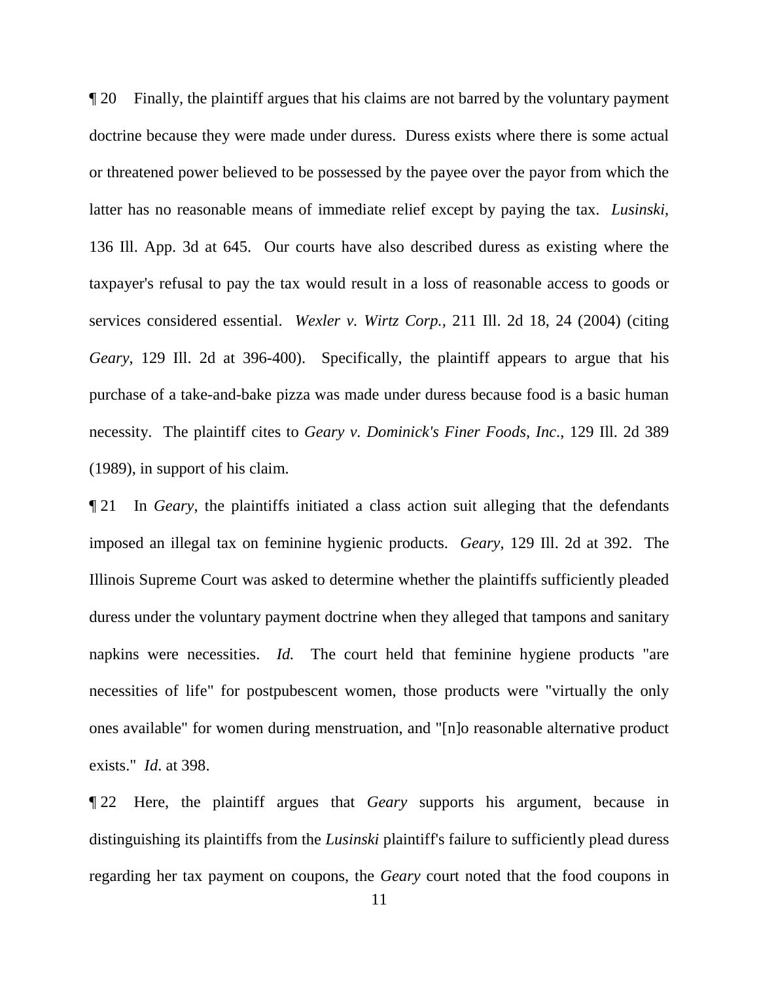¶ 20 Finally, the plaintiff argues that his claims are not barred by the voluntary payment doctrine because they were made under duress. Duress exists where there is some actual or threatened power believed to be possessed by the payee over the payor from which the latter has no reasonable means of immediate relief except by paying the tax. *Lusinski*, 136 Ill. App. 3d at 645. Our courts have also described duress as existing where the taxpayer's refusal to pay the tax would result in a loss of reasonable access to goods or services considered essential. *Wexler v. Wirtz Corp.,* 211 Ill. 2d 18, 24 (2004) (citing *Geary*, 129 Ill. 2d at 396-400). Specifically, the plaintiff appears to argue that his purchase of a take-and-bake pizza was made under duress because food is a basic human necessity. The plaintiff cites to *Geary v. Dominick's Finer Foods, Inc*., 129 Ill. 2d 389 (1989), in support of his claim.

¶ 21 In *Geary*, the plaintiffs initiated a class action suit alleging that the defendants imposed an illegal tax on feminine hygienic products. *Geary*, 129 Ill. 2d at 392. The Illinois Supreme Court was asked to determine whether the plaintiffs sufficiently pleaded duress under the voluntary payment doctrine when they alleged that tampons and sanitary napkins were necessities. *Id.* The court held that feminine hygiene products "are necessities of life" for postpubescent women, those products were "virtually the only ones available" for women during menstruation, and "[n]o reasonable alternative product exists." *Id*. at 398.

¶ 22 Here, the plaintiff argues that *Geary* supports his argument, because in distinguishing its plaintiffs from the *Lusinski* plaintiff's failure to sufficiently plead duress regarding her tax payment on coupons, the *Geary* court noted that the food coupons in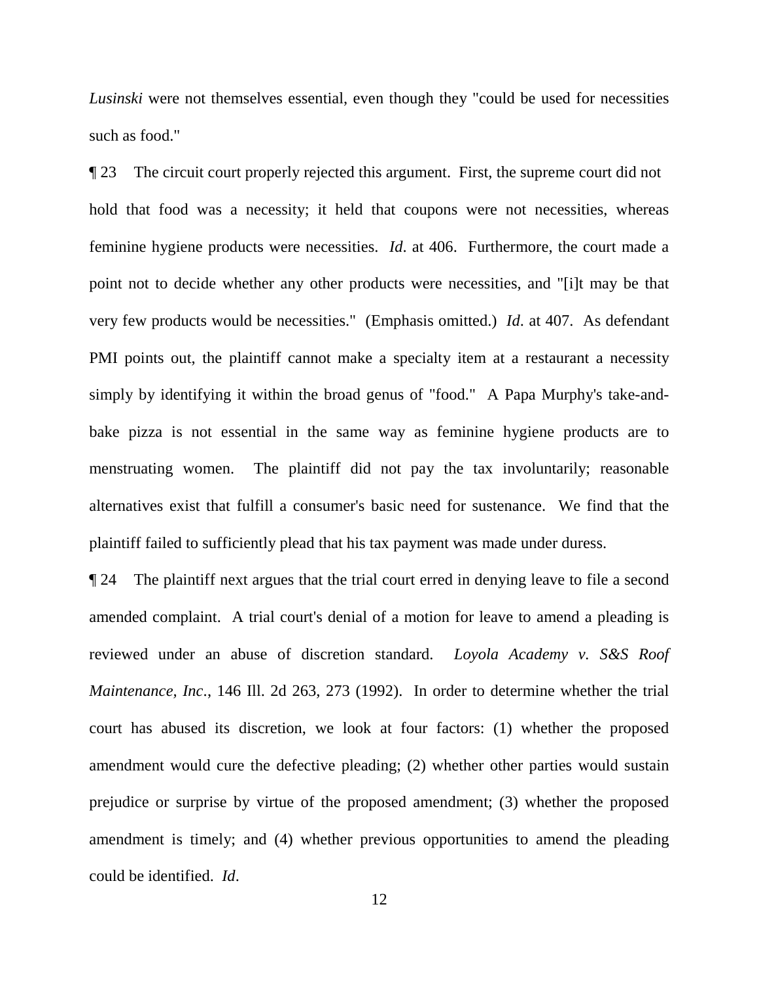*Lusinski* were not themselves essential, even though they "could be used for necessities such as food."

¶ 23 The circuit court properly rejected this argument. First, the supreme court did not hold that food was a necessity; it held that coupons were not necessities, whereas feminine hygiene products were necessities. *Id*. at 406. Furthermore, the court made a point not to decide whether any other products were necessities, and "[i]t may be that very few products would be necessities." (Emphasis omitted.) *Id*. at 407. As defendant PMI points out, the plaintiff cannot make a specialty item at a restaurant a necessity simply by identifying it within the broad genus of "food." A Papa Murphy's take-andbake pizza is not essential in the same way as feminine hygiene products are to menstruating women. The plaintiff did not pay the tax involuntarily; reasonable alternatives exist that fulfill a consumer's basic need for sustenance. We find that the plaintiff failed to sufficiently plead that his tax payment was made under duress.

¶ 24 The plaintiff next argues that the trial court erred in denying leave to file a second amended complaint. A trial court's denial of a motion for leave to amend a pleading is reviewed under an abuse of discretion standard. *Loyola Academy v. S&S Roof Maintenance, Inc*., 146 Ill. 2d 263, 273 (1992). In order to determine whether the trial court has abused its discretion, we look at four factors: (1) whether the proposed amendment would cure the defective pleading; (2) whether other parties would sustain prejudice or surprise by virtue of the proposed amendment; (3) whether the proposed amendment is timely; and (4) whether previous opportunities to amend the pleading could be identified. *Id*.